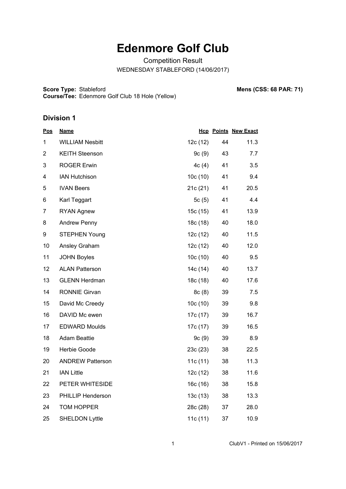## **Edenmore Golf Club**

Competition Result WEDNESDAY STABLEFORD (14/06/2017)

**Score Type: Course/Tee:** Edenmore Golf Club 18 Hole (Yellow) **Mens (CSS: 68 PAR: 71)** 

## **Division 1**

| <u>Pos</u>     | <b>Name</b>             |          |    | <b>Hcp Points New Exact</b> |
|----------------|-------------------------|----------|----|-----------------------------|
| 1              | <b>WILLIAM Nesbitt</b>  | 12c (12) | 44 | 11.3                        |
| $\overline{2}$ | <b>KEITH Steenson</b>   | 9c(9)    | 43 | 7.7                         |
| 3              | <b>ROGER Erwin</b>      | 4c(4)    | 41 | 3.5                         |
| 4              | <b>IAN Hutchison</b>    | 10c(10)  | 41 | 9.4                         |
| 5              | <b>IVAN Beers</b>       | 21c(21)  | 41 | 20.5                        |
| 6              | Karl Teggart            | 5c(5)    | 41 | 4.4                         |
| $\overline{7}$ | <b>RYAN Agnew</b>       | 15c (15) | 41 | 13.9                        |
| 8              | <b>Andrew Penny</b>     | 18c (18) | 40 | 18.0                        |
| 9              | <b>STEPHEN Young</b>    | 12c(12)  | 40 | 11.5                        |
| 10             | Ansley Graham           | 12c(12)  | 40 | 12.0                        |
| 11             | <b>JOHN Boyles</b>      | 10c(10)  | 40 | 9.5                         |
| 12             | <b>ALAN Patterson</b>   | 14c (14) | 40 | 13.7                        |
| 13             | <b>GLENN Herdman</b>    | 18c (18) | 40 | 17.6                        |
| 14             | <b>RONNIE Girvan</b>    | 8c(8)    | 39 | 7.5                         |
| 15             | David Mc Creedy         | 10c(10)  | 39 | 9.8                         |
| 16             | DAVID Mc ewen           | 17c (17) | 39 | 16.7                        |
| 17             | <b>EDWARD Moulds</b>    | 17c (17) | 39 | 16.5                        |
| 18             | <b>Adam Beattie</b>     | 9c(9)    | 39 | 8.9                         |
| 19             | Herbie Goode            | 23c (23) | 38 | 22.5                        |
| 20             | <b>ANDREW Patterson</b> | 11c(11)  | 38 | 11.3                        |
| 21             | <b>IAN Little</b>       | 12c(12)  | 38 | 11.6                        |
| 22             | PETER WHITESIDE         | 16c (16) | 38 | 15.8                        |
| 23             | PHILLIP Henderson       | 13c(13)  | 38 | 13.3                        |
| 24             | TOM HOPPER              | 28c (28) | 37 | 28.0                        |
| 25             | <b>SHELDON Lyttle</b>   | 11c (11) | 37 | 10.9                        |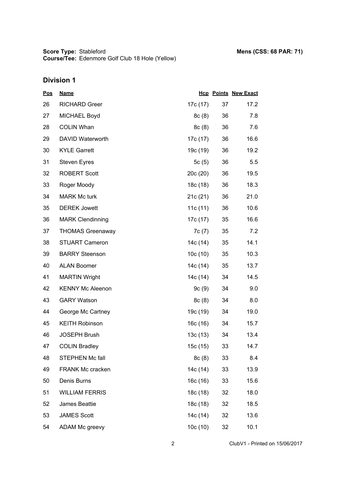**Score Type: Course/Tee:** Stableford **Mens (CSS: 68 PAR: 71)** Edenmore Golf Club 18 Hole (Yellow)

## **Division 1**

| <u>Pos</u> | <b>Name</b>             |          |    | <b>Hcp Points New Exact</b> |
|------------|-------------------------|----------|----|-----------------------------|
| 26         | <b>RICHARD Greer</b>    | 17c (17) | 37 | 17.2                        |
| 27         | MICHAEL Boyd            | 8c(8)    | 36 | 7.8                         |
| 28         | <b>COLIN Whan</b>       | 8c(8)    | 36 | 7.6                         |
| 29         | DAVID Waterworth        | 17c (17) | 36 | 16.6                        |
| 30         | <b>KYLE Garrett</b>     | 19c (19) | 36 | 19.2                        |
| 31         | <b>Steven Eyres</b>     | 5c(5)    | 36 | 5.5                         |
| 32         | <b>ROBERT Scott</b>     | 20c(20)  | 36 | 19.5                        |
| 33         | Roger Moody             | 18c (18) | 36 | 18.3                        |
| 34         | <b>MARK Mc turk</b>     | 21c(21)  | 36 | 21.0                        |
| 35         | <b>DEREK Jowett</b>     | 11c(11)  | 36 | 10.6                        |
| 36         | <b>MARK Clendinning</b> | 17c (17) | 35 | 16.6                        |
| 37         | <b>THOMAS Greenaway</b> | 7c (7)   | 35 | 7.2                         |
| 38         | <b>STUART Cameron</b>   | 14c (14) | 35 | 14.1                        |
| 39         | <b>BARRY Steenson</b>   | 10c(10)  | 35 | 10.3                        |
| 40         | <b>ALAN Boomer</b>      | 14c (14) | 35 | 13.7                        |
| 41         | <b>MARTIN Wright</b>    | 14c (14) | 34 | 14.5                        |
| 42         | <b>KENNY Mc Aleenon</b> | 9c(9)    | 34 | 9.0                         |
| 43         | <b>GARY Watson</b>      | 8c(8)    | 34 | 8.0                         |
| 44         | George Mc Cartney       | 19c (19) | 34 | 19.0                        |
| 45         | <b>KEITH Robinson</b>   | 16c (16) | 34 | 15.7                        |
| 46         | <b>JOSEPH Brush</b>     | 13c(13)  | 34 | 13.4                        |
| 47         | <b>COLIN Bradley</b>    | 15c (15) | 33 | 14.7                        |
| 48         | STEPHEN Mc fall         | 8c(8)    | 33 | 8.4                         |
| 49         | <b>FRANK Mc cracken</b> | 14c (14) | 33 | 13.9                        |
| 50         | Denis Burns             | 16c (16) | 33 | 15.6                        |
| 51         | <b>WILLIAM FERRIS</b>   | 18c (18) | 32 | 18.0                        |
| 52         | James Beattie           | 18c (18) | 32 | 18.5                        |
| 53         | <b>JAMES Scott</b>      | 14c (14) | 32 | 13.6                        |
| 54         | ADAM Mc greevy          | 10c(10)  | 32 | 10.1                        |